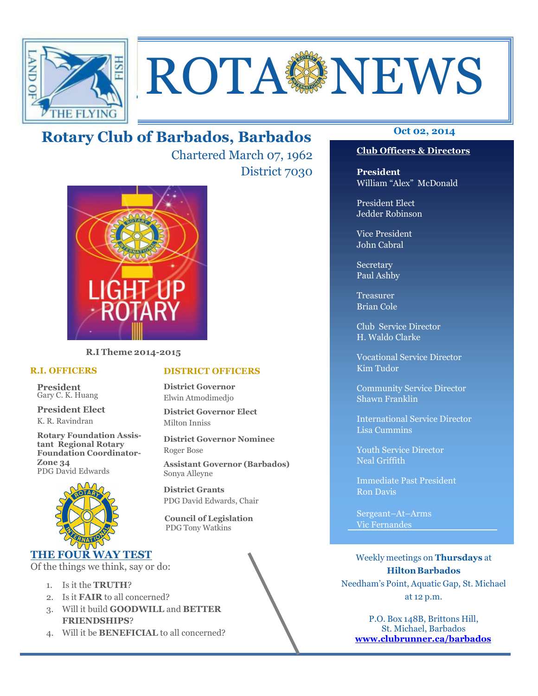

# **ROTA SENEWS**

# **Oct 02, 2014 Rotary Club of Barbados, Barbados**

Chartered March 07, 1962 District 7030



**R.I Theme 2014-2015** 

#### **R.I. OFFICERS**

**President** Gary C. K. Huang

**President Elect** K. R. Ravindran

**Rotary Foundation Assistant Regional Rotary Foundation Coordinator-Zone 34**  PDG David Edwards



# **THE FOUR WAY TEST**

Of the things we think, say or do:

- 1. Is it the **TRUTH**?
- 2. Is it **FAIR** to all concerned?
- 3. Will it build **GOODWILL** and **BETTER FRIENDSHIPS**?
- 4. Will it be **BENEFICIAL** to all concerned?

# **Club Officers & Directors**

**President** William "Alex" McDonald

President Elect Jedder Robinson

Vice President John Cabral

Secretary Paul Ashby

Treasurer Brian Cole

Club Service Director H. Waldo Clarke

Vocational Service Director Kim Tudor

Community Service Director Shawn Franklin

International Service Director Lisa Cummins

Youth Service Director Neal Griffith

Immediate Past President Ron Davis

Sergeant–At–Arms Vic Fernandes

Weekly meetings on **Thursdays** at **Hilton Barbados** Needham's Point, Aquatic Gap, St. Michael at 12 p.m.

P.O. Box 148B, Brittons Hill, St. Michael, Barbados **www.clubrunner.ca/barbados**

# **DISTRICT OFFICERS**

**District Governor** Elwin Atmodimedjo

**District Governor Elect** Milton Inniss

**District Governor Nominee**  Roger Bose

**Assistant Governor (Barbados)** Sonya Alleyne

**District Grants**  PDG David Edwards, Chair

 **Council of Legislation**  PDG Tony Watkins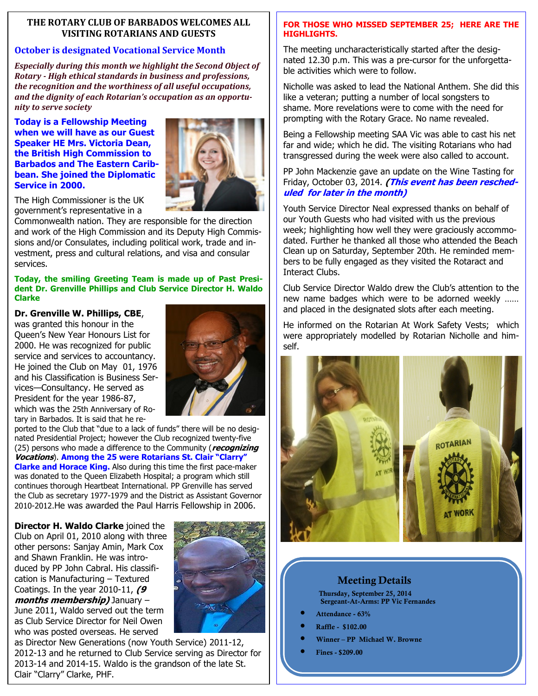# **THE ROTARY CLUB OF BARBADOS WELCOMES ALL VISITING ROTARIANS AND GUESTS**

# **October is designated Vocational Service Month**

*Especially during this month we highlight the Second Object of Rotary - High ethical standards in business and professions, the recognition and the worthiness of all useful occupations, and the dignity of each Rotarian's occupation as an opportunity to serve society* 

**Today is a Fellowship Meeting when we will have as our Guest Speaker HE Mrs. Victoria Dean, the British High Commission to Barbados and The Eastern Caribbean. She joined the Diplomatic Service in 2000.** 



The High Commissioner is the UK government's representative in a

Commonwealth nation. They are responsible for the direction and work of the High Commission and its Deputy High Commissions and/or Consulates, including political work, trade and investment, press and cultural relations, and visa and consular services.

#### **Today, the smiling Greeting Team is made up of Past President Dr. Grenville Phillips and Club Service Director H. Waldo Clarke**

#### **Dr. Grenville W. Phillips, CBE**,

was granted this honour in the Queen's New Year Honours List for 2000. He was recognized for public service and services to accountancy. He joined the Club on May 01, 1976 and his Classification is Business Services—Consultancy. He served as President for the year 1986-87, which was the 25th Anniversary of Rotary in Barbados. It is said that he re-



ported to the Club that "due to a lack of funds" there will be no designated Presidential Project; however the Club recognized twenty-five (25) persons who made a difference to the Community (**recognizing Vocations**). **Among the 25 were Rotarians St. Clair "Clarry" Clarke and Horace King.** Also during this time the first pace-maker was donated to the Queen Elizabeth Hospital; a program which still continues thorough Heartbeat International. PP Grenville has served the Club as secretary 1977-1979 and the District as Assistant Governor 2010-2012.He was awarded the Paul Harris Fellowship in 2006.

**Director H. Waldo Clarke** joined the Club on April 01, 2010 along with three other persons: Sanjay Amin, Mark Cox and Shawn Franklin. He was introduced by PP John Cabral. His classification is Manufacturing – Textured Coatings. In the year 2010-11, **(9 months membership)** January – June 2011, Waldo served out the term as Club Service Director for Neil Owen who was posted overseas. He served



as Director New Generations (now Youth Service) 2011-12, 2012-13 and he returned to Club Service serving as Director for 2013-14 and 2014-15. Waldo is the grandson of the late St. Clair "Clarry" Clarke, PHF.

# **FOR THOSE WHO MISSED SEPTEMBER 25; HERE ARE THE HIGHLIGHTS.**

The meeting uncharacteristically started after the designated 12.30 p.m. This was a pre-cursor for the unforgettable activities which were to follow.

Nicholle was asked to lead the National Anthem. She did this like a veteran; putting a number of local songsters to shame. More revelations were to come with the need for prompting with the Rotary Grace. No name revealed.

Being a Fellowship meeting SAA Vic was able to cast his net far and wide; which he did. The visiting Rotarians who had transgressed during the week were also called to account.

#### PP John Mackenzie gave an update on the Wine Tasting for Friday, October 03, 2014. **(This event has been rescheduled for later in the month)**

Youth Service Director Neal expressed thanks on behalf of our Youth Guests who had visited with us the previous week; highlighting how well they were graciously accommodated. Further he thanked all those who attended the Beach Clean up on Saturday, September 20th. He reminded members to be fully engaged as they visited the Rotaract and Interact Clubs.

Club Service Director Waldo drew the Club's attention to the new name badges which were to be adorned weekly …… and placed in the designated slots after each meeting.

He informed on the Rotarian At Work Safety Vests; which were appropriately modelled by Rotarian Nicholle and himself.



# **Meeting Details**

**Thursday, September 25, 2014 Sergeant-At-Arms: PP Vic Fernandes** 

- **Attendance 63%**
- **Raffle \$102.00**
- **Winner PP Michael W. Browne**
- **Fines \$209.00**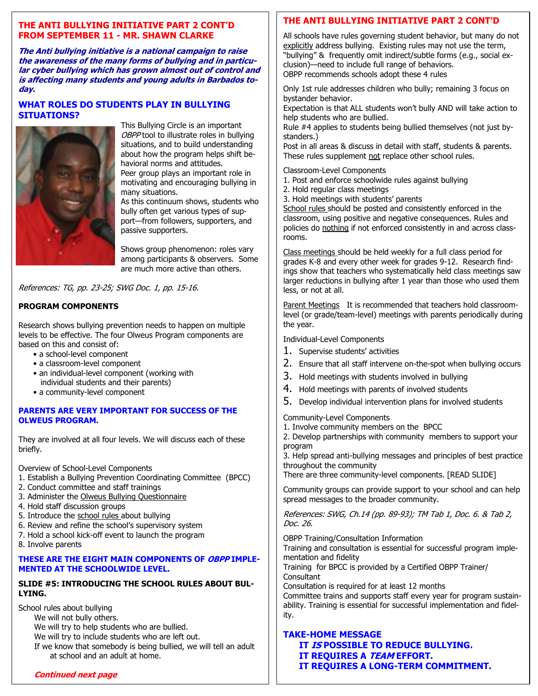# **THE ANTI BULLYING INITIATIVE PART 2 CONT'D FROM SEPTEMBER 11 - MR. SHAWN CLARKE**

**The Anti bullying initiative is a national campaign to raise the awareness of the many forms of bullying and in particular cyber bullying which has grown almost out of control and is affecting many students and young adults in Barbados today.** 

#### **WHAT ROLES DO STUDENTS PLAY IN BULLYING SITUATIONS?**



This Bullying Circle is an important OBPP tool to illustrate roles in bullying situations, and to build understanding about how the program helps shift behavioral norms and attitudes. Peer group plays an important role in

motivating and encouraging bullying in many situations.

As this continuum shows, students who bully often get various types of support—from followers, supporters, and passive supporters.

Shows group phenomenon: roles vary among participants & observers. Some are much more active than others.

References: TG, pp. 23-25; SWG Doc. 1, pp. 15-16.

# **PROGRAM COMPONENTS**

Research shows bullying prevention needs to happen on multiple levels to be effective. The four Olweus Program components are based on this and consist of:

- a school-level component
- a classroom-level component
- an individual-level component (working with individual students and their parents)
- a community-level component

#### **PARENTS ARE VERY IMPORTANT FOR SUCCESS OF THE OLWEUS PROGRAM.**

They are involved at all four levels. We will discuss each of these briefly.

Overview of School-Level Components

- 1. Establish a Bullying Prevention Coordinating Committee (BPCC)
- 2. Conduct committee and staff trainings
- 3. Administer the Olweus Bullying Questionnaire
- 4. Hold staff discussion groups
- 5. Introduce the school rules about bullying
- 6. Review and refine the school's supervisory system
- 7. Hold a school kick-off event to launch the program
- 8. Involve parents

# **THESE ARE THE EIGHT MAIN COMPONENTS OF OBPP IMPLE-MENTED AT THE SCHOOLWIDE LEVEL.**

# **SLIDE #5: INTRODUCING THE SCHOOL RULES ABOUT BUL-LYING.**

School rules about bullying We will not bully others. We will try to help students who are bullied. We will try to include students who are left out. If we know that somebody is being bullied, we will tell an adult at school and an adult at home.

# **THE ANTI BULLYING INITIATIVE PART 2 CONT'D**

All schools have rules governing student behavior, but many do not explicitly address bullying. Existing rules may not use the term, "bullying" & frequently omit indirect/subtle forms (e.g., social exclusion)—need to include full range of behaviors. OBPP recommends schools adopt these 4 rules

Only 1st rule addresses children who bully; remaining 3 focus on bystander behavior.

Expectation is that ALL students won't bully AND will take action to help students who are bullied.

Rule #4 applies to students being bullied themselves (not just bystanders.)

Post in all areas & discuss in detail with staff, students & parents. These rules supplement not replace other school rules.

Classroom-Level Components

- 1. Post and enforce schoolwide rules against bullying
- 2. Hold regular class meetings
- 3. Hold meetings with students' parents

School rules should be posted and consistently enforced in the classroom, using positive and negative consequences. Rules and policies do nothing if not enforced consistently in and across classrooms.

Class meetings should be held weekly for a full class period for grades K-8 and every other week for grades 9-12. Research findings show that teachers who systematically held class meetings saw larger reductions in bullying after 1 year than those who used them less, or not at all.

Parent Meetings It is recommended that teachers hold classroomlevel (or grade/team-level) meetings with parents periodically during the year.

Individual-Level Components

- 1. Supervise students' activities
- 2. Ensure that all staff intervene on-the-spot when bullying occurs
- 3. Hold meetings with students involved in bullying
- 4. Hold meetings with parents of involved students
- 5. Develop individual intervention plans for involved students

Community-Level Components

1. Involve community members on the BPCC

2. Develop partnerships with community members to support your program

3. Help spread anti-bullying messages and principles of best practice throughout the community

There are three community-level components. [READ SLIDE]

Community groups can provide support to your school and can help spread messages to the broader community.

References: SWG, Ch.14 (pp. 89-93); TM Tab 1, Doc. 6. & Tab 2, Doc. 26.

OBPP Training/Consultation Information

Training and consultation is essential for successful program implementation and fidelity

Training for BPCC is provided by a Certified OBPP Trainer/ **Consultant** 

Consultation is required for at least 12 months Committee trains and supports staff every year for program sustainability. Training is essential for successful implementation and fidelity.

# **TAKE-HOME MESSAGE**

**IT IS POSSIBLE TO REDUCE BULLYING. IT REQUIRES A TEAM EFFORT. IT REQUIRES A LONG-TERM COMMITMENT.** 

#### **Continued next page**